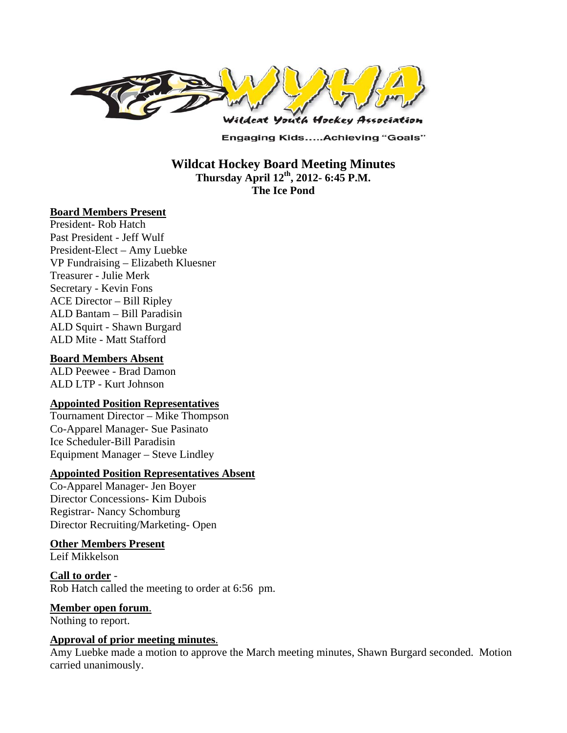

**Engaging Kids.....Achieving "Goals"** 

**Wildcat Hockey Board Meeting Minutes Thursday April 12th, 2012- 6:45 P.M. The Ice Pond** 

#### **Board Members Present**

President- Rob Hatch Past President - Jeff Wulf President-Elect – Amy Luebke VP Fundraising – Elizabeth Kluesner Treasurer - Julie Merk Secretary - Kevin Fons ACE Director – Bill Ripley ALD Bantam – Bill Paradisin ALD Squirt - Shawn Burgard ALD Mite - Matt Stafford

#### **Board Members Absent**

ALD Peewee - Brad Damon ALD LTP - Kurt Johnson

#### **Appointed Position Representatives**

Tournament Director – Mike Thompson Co-Apparel Manager- Sue Pasinato Ice Scheduler-Bill Paradisin Equipment Manager – Steve Lindley

#### **Appointed Position Representatives Absent**

Co-Apparel Manager- Jen Boyer Director Concessions- Kim Dubois Registrar- Nancy Schomburg Director Recruiting/Marketing- Open

#### **Other Members Present**

Leif Mikkelson

**Call to order** - Rob Hatch called the meeting to order at 6:56 pm.

#### **Member open forum**.

Nothing to report.

#### **Approval of prior meeting minutes**.

Amy Luebke made a motion to approve the March meeting minutes, Shawn Burgard seconded. Motion carried unanimously.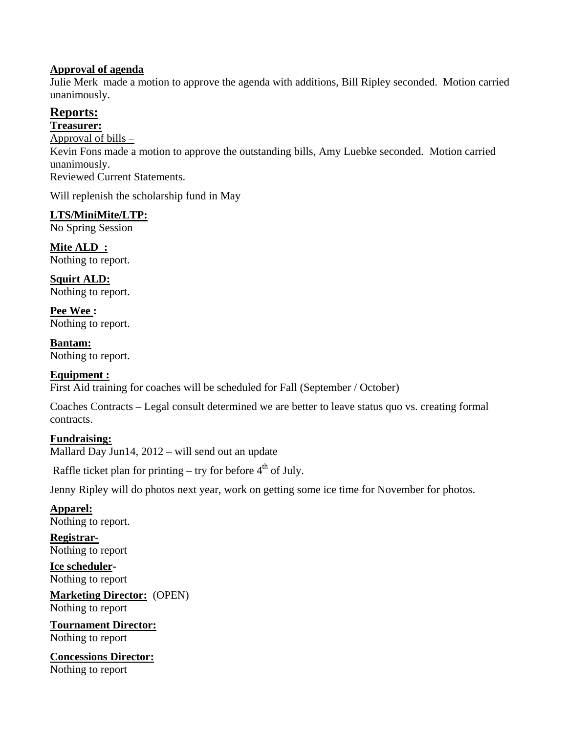#### **Approval of agenda**

Julie Merk made a motion to approve the agenda with additions, Bill Ripley seconded. Motion carried unanimously.

# **Reports:**

#### **Treasurer:**

Approval of bills – Kevin Fons made a motion to approve the outstanding bills, Amy Luebke seconded. Motion carried unanimously. Reviewed Current Statements.

Will replenish the scholarship fund in May

# **LTS/MiniMite/LTP:**

No Spring Session

**Mite ALD :**  Nothing to report.

**Squirt ALD:**  Nothing to report.

**Pee Wee :**  Nothing to report.

**Bantam:**  Nothing to report.

# **Equipment :**

First Aid training for coaches will be scheduled for Fall (September / October)

Coaches Contracts – Legal consult determined we are better to leave status quo vs. creating formal contracts.

# **Fundraising:**

Mallard Day Jun14, 2012 – will send out an update

Raffle ticket plan for printing – try for before  $4<sup>th</sup>$  of July.

Jenny Ripley will do photos next year, work on getting some ice time for November for photos.

# **Apparel:**

Nothing to report.

**Registrar-**Nothing to report

**Ice scheduler-**Nothing to report

**Marketing Director:** (OPEN) Nothing to report

**Tournament Director:** Nothing to report

**Concessions Director:** Nothing to report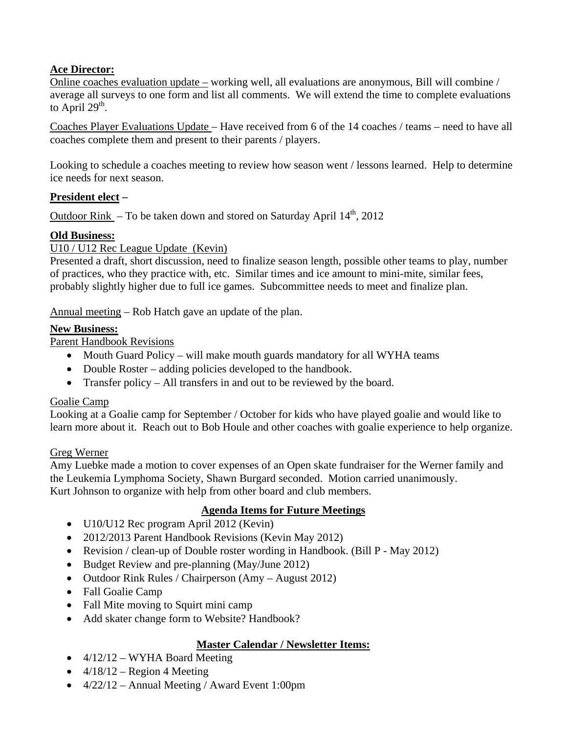# **Ace Director:**

Online coaches evaluation update – working well, all evaluations are anonymous, Bill will combine / average all surveys to one form and list all comments. We will extend the time to complete evaluations to April  $29<sup>th</sup>$ .

Coaches Player Evaluations Update – Have received from 6 of the 14 coaches / teams – need to have all coaches complete them and present to their parents / players.

Looking to schedule a coaches meeting to review how season went / lessons learned. Help to determine ice needs for next season.

# **President elect –**

Outdoor Rink – To be taken down and stored on Saturday April  $14<sup>th</sup>$ , 2012

# **Old Business:**

U10 / U12 Rec League Update (Kevin)

Presented a draft, short discussion, need to finalize season length, possible other teams to play, number of practices, who they practice with, etc. Similar times and ice amount to mini-mite, similar fees, probably slightly higher due to full ice games. Subcommittee needs to meet and finalize plan.

Annual meeting – Rob Hatch gave an update of the plan.

# **New Business:**

Parent Handbook Revisions

- Mouth Guard Policy will make mouth guards mandatory for all WYHA teams
- Double Roster adding policies developed to the handbook.
- Transfer policy All transfers in and out to be reviewed by the board.

# Goalie Camp

Looking at a Goalie camp for September / October for kids who have played goalie and would like to learn more about it. Reach out to Bob Houle and other coaches with goalie experience to help organize.

# Greg Werner

Amy Luebke made a motion to cover expenses of an Open skate fundraiser for the Werner family and the Leukemia Lymphoma Society, Shawn Burgard seconded. Motion carried unanimously. Kurt Johnson to organize with help from other board and club members.

# **Agenda Items for Future Meetings**

- U10/U12 Rec program April 2012 (Kevin)
- 2012/2013 Parent Handbook Revisions (Kevin May 2012)
- Revision / clean-up of Double roster wording in Handbook. (Bill P May 2012)
- Budget Review and pre-planning (May/June 2012)
- Outdoor Rink Rules / Chairperson  $(Amy August 2012)$
- Fall Goalie Camp
- Fall Mite moving to Squirt mini camp
- Add skater change form to Website? Handbook?

# **Master Calendar / Newsletter Items:**

- $\bullet$  4/12/12 WYHA Board Meeting
- $\bullet$  4/18/12 Region 4 Meeting
- $\bullet$  4/22/12 Annual Meeting / Award Event 1:00pm